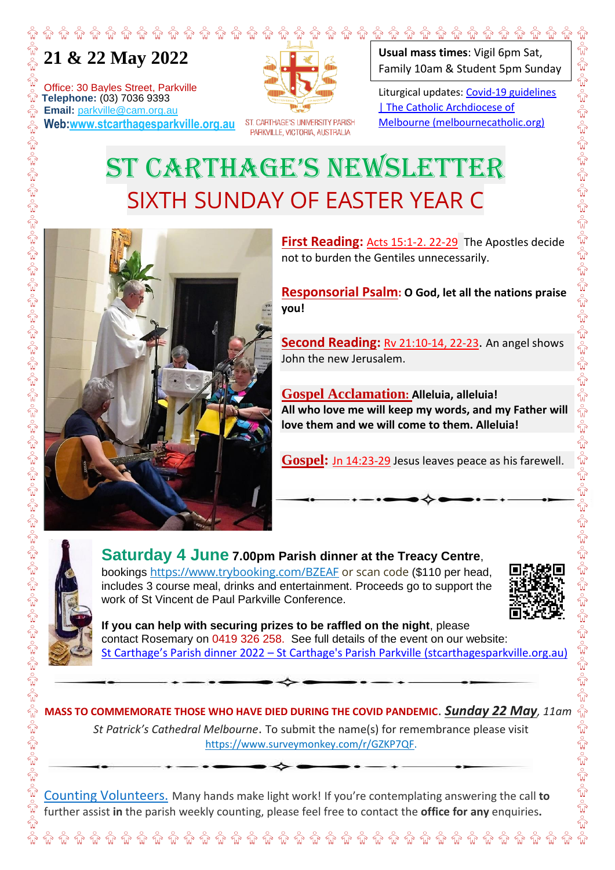## **21 & 22 May 2022**

Office: 30 Bayles Street, Parkville **The Street School School School School School School School School School School School School School School School School School School School School School School School School School School School School School School Email:** parkville@cam.org.au **Web:www.stcarthagesparkville.org.au**



ST. CARTHAGE'S UNIVERSITY PARISH PARKVILLE, VICTORIA, AUSTRALIA

**Usual mass times**: Vigil 6pm Sat, Family 10am & Student 5pm Sunday

Liturgical updates: Covid-19 guidelines | The Catholic Archdiocese of Melbourne (melbournecatholic.org)

## ST CARTHAGE'S NEWSLETTER SIXTH SUNDAY OF EASTER YEAR C



**First Reading:** Acts 15:1-2. 22-29 The Apostles decide not to burden the Gentiles unnecessarily.

**Responsorial Psalm: O God, let all the nations praise you!** 

**Second Reading:** Rv 21:10-14, 22-23. An angel shows John the new Jerusalem.

**Gospel Acclamation: Alleluia, alleluia! All who love me will keep my words, and my Father will love them and we will come to them. Alleluia!**

**Gospel:** Jn 14:23-29 Jesus leaves peace as his farewell.



**Saturday 4 June 7.00pm Parish dinner at the Treacy Centre**,

bookings https://www.trybooking.com/BZEAF or scan code (\$110 per head, includes 3 course meal, drinks and entertainment. Proceeds go to support the work of St Vincent de Paul Parkville Conference.



**\*\* \*\* \*\* \*\*** \*\* \*\*

**If you can help with securing prizes to be raffled on the night**, please contact Rosemary on 0419 326 258. See full details of the event on our website: St Carthage's Parish dinner 2022 – St Carthage's Parish Parkville (stcarthagesparkville.org.au)

MASS TO COMMEMORATE THOSE WHO HAVE DIED DURING THE COVID PANDEMIC. Sunday 22 May, 11am <sup>2</sup><br>
MASS TO COMMEMORATE THOSE WHO HAVE DIED DURING THE COVID PANDEMIC. Sunday 22 May, 11am <sup>2</sup><br>
St Patrick's Cathedral Melbourne. To s *St Patrick's Cathedral Melbourne*. To submit the name(s) for remembrance please visit https://www.surveymonkey.com/r/GZKP7QF.

Counting Volunteers. Many hands make light work! If you're contemplating answering the call **to** further assist **in** the parish weekly counting, please feel free to contact the **office for any** enquiries**.**